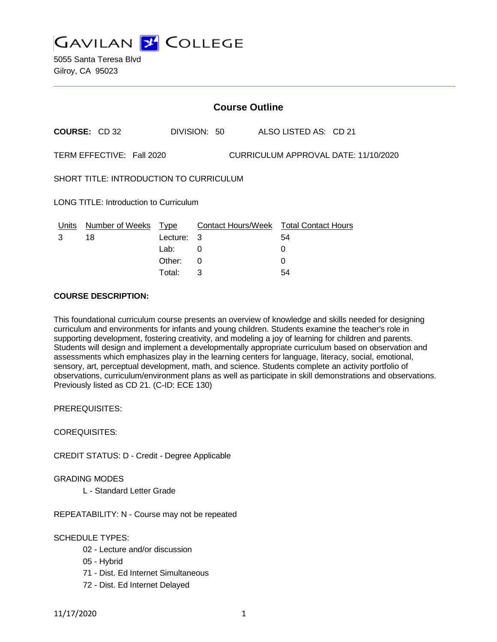

| <b>Course Outline</b>                                             |                        |             |              |  |                                        |  |
|-------------------------------------------------------------------|------------------------|-------------|--------------|--|----------------------------------------|--|
|                                                                   | <b>COURSE: CD 32</b>   |             | DIVISION: 50 |  | ALSO LISTED AS: CD 21                  |  |
| TERM EFFECTIVE: Fall 2020<br>CURRICULUM APPROVAL DATE: 11/10/2020 |                        |             |              |  |                                        |  |
| SHORT TITLE: INTRODUCTION TO CURRICULUM                           |                        |             |              |  |                                        |  |
| LONG TITLE: Introduction to Curriculum                            |                        |             |              |  |                                        |  |
| Units                                                             | <b>Number of Weeks</b> | <u>Type</u> |              |  | Contact Hours/Week Total Contact Hours |  |
| 3                                                                 | 18                     | Lecture:    | - 3          |  | 54                                     |  |
|                                                                   |                        | Lab:        | $\Omega$     |  | 0                                      |  |
|                                                                   |                        | Other:      | 0            |  | 0                                      |  |
|                                                                   |                        | Total:      | 3            |  | 54                                     |  |

# **COURSE DESCRIPTION:**

This foundational curriculum course presents an overview of knowledge and skills needed for designing curriculum and environments for infants and young children. Students examine the teacher's role in supporting development, fostering creativity, and modeling a joy of learning for children and parents. Students will design and implement a developmentally appropriate curriculum based on observation and assessments which emphasizes play in the learning centers for language, literacy, social, emotional, sensory, art, perceptual development, math, and science. Students complete an activity portfolio of observations, curriculum/environment plans as well as participate in skill demonstrations and observations. Previously listed as CD 21. (C-ID: ECE 130)

PREREQUISITES:

COREQUISITES:

CREDIT STATUS: D - Credit - Degree Applicable

GRADING MODES

L - Standard Letter Grade

REPEATABILITY: N - Course may not be repeated

SCHEDULE TYPES:

- 02 Lecture and/or discussion
- 05 Hybrid
- 71 Dist. Ed Internet Simultaneous
- 72 Dist. Ed Internet Delayed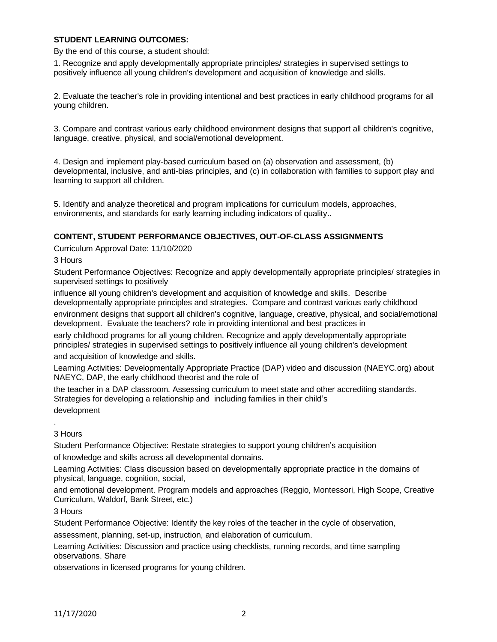### **STUDENT LEARNING OUTCOMES:**

By the end of this course, a student should:

1. Recognize and apply developmentally appropriate principles/ strategies in supervised settings to positively influence all young children's development and acquisition of knowledge and skills.

2. Evaluate the teacher's role in providing intentional and best practices in early childhood programs for all young children.

3. Compare and contrast various early childhood environment designs that support all children's cognitive, language, creative, physical, and social/emotional development.

4. Design and implement play-based curriculum based on (a) observation and assessment, (b) developmental, inclusive, and anti-bias principles, and (c) in collaboration with families to support play and learning to support all children.

5. Identify and analyze theoretical and program implications for curriculum models, approaches, environments, and standards for early learning including indicators of quality..

### **CONTENT, STUDENT PERFORMANCE OBJECTIVES, OUT-OF-CLASS ASSIGNMENTS**

Curriculum Approval Date: 11/10/2020

3 Hours

Student Performance Objectives: Recognize and apply developmentally appropriate principles/ strategies in supervised settings to positively

influence all young children's development and acquisition of knowledge and skills. Describe developmentally appropriate principles and strategies. Compare and contrast various early childhood

environment designs that support all children's cognitive, language, creative, physical, and social/emotional development. Evaluate the teachers? role in providing intentional and best practices in

early childhood programs for all young children. Recognize and apply developmentally appropriate principles/ strategies in supervised settings to positively influence all young children's development and acquisition of knowledge and skills.

Learning Activities: Developmentally Appropriate Practice (DAP) video and discussion (NAEYC.org) about NAEYC, DAP, the early childhood theorist and the role of

the teacher in a DAP classroom. Assessing curriculum to meet state and other accrediting standards. Strategies for developing a relationship and including families in their child's

development

3 Hours

.

Student Performance Objective: Restate strategies to support young children's acquisition of knowledge and skills across all developmental domains.

Learning Activities: Class discussion based on developmentally appropriate practice in the domains of physical, language, cognition, social,

and emotional development. Program models and approaches (Reggio, Montessori, High Scope, Creative Curriculum, Waldorf, Bank Street, etc.)

3 Hours

Student Performance Objective: Identify the key roles of the teacher in the cycle of observation,

assessment, planning, set-up, instruction, and elaboration of curriculum.

Learning Activities: Discussion and practice using checklists, running records, and time sampling observations. Share

observations in licensed programs for young children.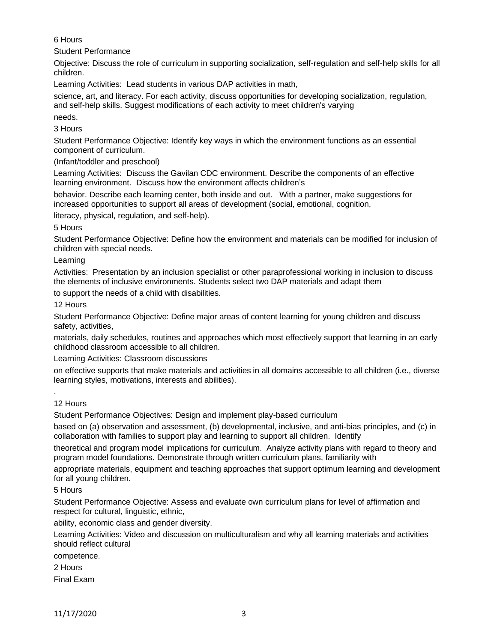# 6 Hours

Student Performance

Objective: Discuss the role of curriculum in supporting socialization, self-regulation and self-help skills for all children.

Learning Activities: Lead students in various DAP activities in math,

science, art, and literacy. For each activity, discuss opportunities for developing socialization, regulation, and self-help skills. Suggest modifications of each activity to meet children's varying

needs.

3 Hours

Student Performance Objective: Identify key ways in which the environment functions as an essential component of curriculum.

(Infant/toddler and preschool)

Learning Activities: Discuss the Gavilan CDC environment. Describe the components of an effective learning environment. Discuss how the environment affects children's

behavior. Describe each learning center, both inside and out. With a partner, make suggestions for increased opportunities to support all areas of development (social, emotional, cognition,

literacy, physical, regulation, and self-help).

5 Hours

Student Performance Objective: Define how the environment and materials can be modified for inclusion of children with special needs.

Learning

Activities: Presentation by an inclusion specialist or other paraprofessional working in inclusion to discuss the elements of inclusive environments. Students select two DAP materials and adapt them

to support the needs of a child with disabilities.

12 Hours

Student Performance Objective: Define major areas of content learning for young children and discuss safety, activities,

materials, daily schedules, routines and approaches which most effectively support that learning in an early childhood classroom accessible to all children.

Learning Activities: Classroom discussions

on effective supports that make materials and activities in all domains accessible to all children (i.e., diverse learning styles, motivations, interests and abilities).

12 Hours

.

Student Performance Objectives: Design and implement play-based curriculum

based on (a) observation and assessment, (b) developmental, inclusive, and anti-bias principles, and (c) in collaboration with families to support play and learning to support all children. Identify

theoretical and program model implications for curriculum. Analyze activity plans with regard to theory and program model foundations. Demonstrate through written curriculum plans, familiarity with

appropriate materials, equipment and teaching approaches that support optimum learning and development for all young children.

5 Hours

Student Performance Objective: Assess and evaluate own curriculum plans for level of affirmation and respect for cultural, linguistic, ethnic,

ability, economic class and gender diversity.

Learning Activities: Video and discussion on multiculturalism and why all learning materials and activities should reflect cultural

competence.

2 Hours

Final Exam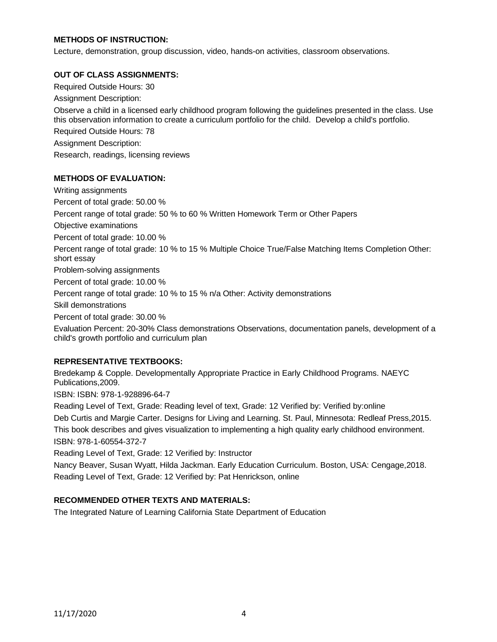# **METHODS OF INSTRUCTION:**

Lecture, demonstration, group discussion, video, hands-on activities, classroom observations.

### **OUT OF CLASS ASSIGNMENTS:**

Required Outside Hours: 30 Assignment Description: Observe a child in a licensed early childhood program following the guidelines presented in the class. Use this observation information to create a curriculum portfolio for the child. Develop a child's portfolio. Required Outside Hours: 78 Assignment Description: Research, readings, licensing reviews

### **METHODS OF EVALUATION:**

Writing assignments Percent of total grade: 50.00 % Percent range of total grade: 50 % to 60 % Written Homework Term or Other Papers Objective examinations Percent of total grade: 10.00 % Percent range of total grade: 10 % to 15 % Multiple Choice True/False Matching Items Completion Other: short essay Problem-solving assignments Percent of total grade: 10.00 % Percent range of total grade: 10 % to 15 % n/a Other: Activity demonstrations Skill demonstrations Percent of total grade: 30.00 % Evaluation Percent: 20-30% Class demonstrations Observations, documentation panels, development of a child's growth portfolio and curriculum plan

### **REPRESENTATIVE TEXTBOOKS:**

Bredekamp & Copple. Developmentally Appropriate Practice in Early Childhood Programs. NAEYC Publications,2009.

ISBN: ISBN: 978-1-928896-64-7

Reading Level of Text, Grade: Reading level of text, Grade: 12 Verified by: Verified by:online Deb Curtis and Margie Carter. Designs for Living and Learning. St. Paul, Minnesota: Redleaf Press,2015. This book describes and gives visualization to implementing a high quality early childhood environment. ISBN: 978-1-60554-372-7

Reading Level of Text, Grade: 12 Verified by: Instructor

Nancy Beaver, Susan Wyatt, Hilda Jackman. Early Education Curriculum. Boston, USA: Cengage,2018. Reading Level of Text, Grade: 12 Verified by: Pat Henrickson, online

# **RECOMMENDED OTHER TEXTS AND MATERIALS:**

The Integrated Nature of Learning California State Department of Education